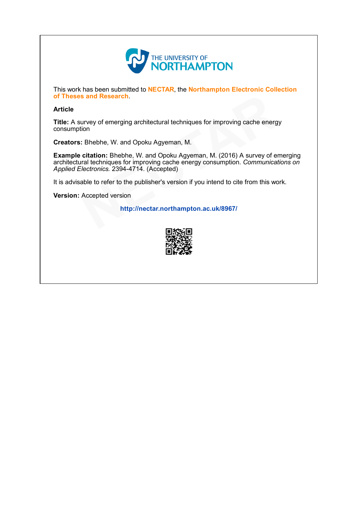

This work has been submitted to NECTAR, the Northampton Electronic Collection of Theses and Research.

# Article

Title: A survey of emerging architectural techniques for improving cache energy consumption

Creators: Bhebhe, W. and Opoku Agyeman, M.

Example citation: Bhebhe, W. and Opoku Agyeman, M. (2016) A survey of emerging architectural techniques for improving cache energy consumption. Communications on Applied Electronics. 2394-4714. (Accepted) s and Research.<br>
urvey of emerging architectural techniques for improving cache energition<br>
: Bhebhe, W. and Opoku Agyeman, M. (2016) A survey of erral techniques for improving cache energy consumption. Communicat<br>
: lectr

It is advisable to refer to the publisher's version if you intend to cite from this work.

Version: Accepted version

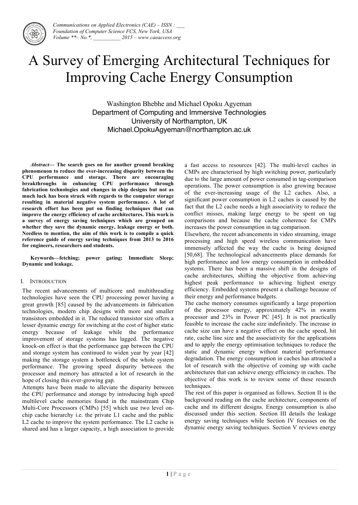

# A Survey of Emerging Architectural Techniques for Improving Cache Energy Consumption

Washington Bhebhe and Michael Opoku Agyeman Department of Computing and Immersive Technologies University of Northampton, UK Michael.OpokuAgyeman@northampton.ac.uk

*Abstract***— The search goes on for another ground breaking phenomenon to reduce the ever-increasing disparity between the CPU performance and storage. There are encouraging breakthroughs in enhancing CPU performance through fabrication technologies and changes in chip designs but not as much luck has been struck with regards to the computer storage resulting in material negative system performance. A lot of research effort has been put on finding techniques that can improve the energy efficiency of cache architectures. This work is a survey of energy saving techniques which are grouped on whether they save the dynamic energy, leakage energy or both. Needless to mention, the aim of this work is to compile a quick reference guide of energy saving techniques from 2013 to 2016 for engineers, researchers and students.** 

**Keywords—fetching; power gating; Immediate Sleep; Dynamic and leakage.**

#### I. INTRODUCTION

The recent advancements of multicore and multithreading technologies have seen the CPU processing power having a great growth [85] caused by the advancements in fabrication technologies, modern chip designs with more and smaller transistors embedded in it. The reduced transistor size offers a lesser dynamic energy for switching at the cost of higher static energy because of leakage while the performance improvement of storage systems has lagged. The negative knock-on effect is that the performance gap between the CPU and storage system has continued to widen year by year [42] making the storage system a bottleneck of the whole system performance. The growing speed disparity between the processor and memory has attracted a lot of research in the hope of closing this ever-growing gap.

Attempts have been made to alleviate the disparity between the CPU performance and storage by introducing high speed multilevel cache memories found in the mainstream Chip Multi-Core Processors (CMPs) [55] which use two level onchip cache hierarchy i.e. the private L1 cache and the public L2 cache to improve the system performance. The L2 cache is shared and has a larger capacity, a high association to provide a fast access to resources [42]. The multi-level caches in CMPs are characterised by high switching power, particularly due to the large amount of power consumed in tag-comparison operations. The power consumption is also growing because of the ever-increasing usage of the L2 caches. Also, a significant power consumption in L2 caches is caused by the fact that the L2 cache needs a high associativity to reduce the conflict misses, making large energy to be spent on tag comparisons and because the cache coherence for CMPs increases the power consumption in tag comparison.

Elsewhere, the recent advancements in video streaming, image processing and high speed wireless communication have immensely affected the way the cache is being designed [50,68]. The technological advancements place demands for high performance and low energy consumption in embedded systems. There has been a massive shift in the designs of cache architectures, shifting the objective from achieving highest peak performance to achieving highest energy efficiency. Embedded systems present a challenge because of their energy and performance budgets.

The cache memory consumes significantly a large proportion of the processor energy, approximately 42% in swarm processor and 23% in Power PC [45]. It is not practically feasible to increase the cache size indefinitely. The increase in cache size can have a negative effect on the cache speed, hit rate, cache line size and the associativity for the applications and to apply the energy optimisation techniques to reduce the static and dynamic energy without material performance degradation. The energy consumption in caches has attracted a lot of research with the objective of coming up with cache architectures that can achieve energy efficiency in caches. The objective of this work is to review some of these research techniques.

The rest of this paper is organised as follows. Section II is the background reading on the cache architecture, components of cache and its different designs. Energy consumption is also discussed under this section. Section III details the leakage energy saving techniques while Section IV focusses on the dynamic energy saving techniques. Section V reviews energy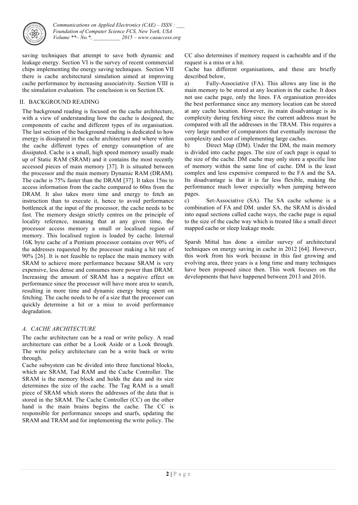

saving techniques that attempt to save both dynamic and leakage energy. Section VI is the survey of recent commercial chips implementing the energy saving techniques. Section VII there is cache architectural simulation aimed at improving cache performance by increasing associativity. Section VIII is the simulation evaluation. The conclusion is on Section IX.

# II. BACKGROUND READING

The background reading is focused on the cache architecture, with a view of understanding how the cache is designed, the components of cache and different types of its organisation. The last section of the background reading is dedicated to how energy is dissipated in the cache architecture and where within the cache different types of energy consumption of are dissipated. Cache is a small, high speed memory usually made up of Static RAM (SRAM) and it contains the most recently accessed pieces of main memory [37]. It is situated between the processor and the main memory Dynamic RAM (DRAM). The cache is 75% faster than the DRAM [37]. It takes 15ns to access information from the cache compared to 60ns from the DRAM. It also takes more time and energy to fetch an instruction than to execute it, hence to avoid performance bottleneck at the input of the processor, the cache needs to be fast. The memory design strictly centres on the principle of locality reference, meaning that at any given time, the processor access memory a small or localised region of memory. This localised region is loaded by cache. Internal 16K byte cache of a Pentium processor contains over 90% of the addresses requested by the processor making a hit rate of 90% [26]. It is not feasible to replace the main memory with SRAM to achieve more performance because SRAM is very expensive, less dense and consumes more power than DRAM. Increasing the amount of SRAM has a negative effect on performance since the processor will have more area to search, resulting in more time and dynamic energy being spent on fetching. The cache needs to be of a size that the processor can quickly determine a hit or a miss to avoid performance degradation.

# *A. CACHE ARCHITECTURE*

The cache architecture can be a read or write policy. A read architecture can either be a Look Aside or a Look through. The write policy architecture can be a write back or write through.

Cache subsystem can be divided into three functional blocks, which are SRAM, Tad RAM and the Cache Controller. The SRAM is the memory block and holds the data and its size determines the size of the cache. The Tag RAM is a small piece of SRAM which stores the addresses of the data that is stored in the SRAM. The Cache Controller (CC) on the other hand is the main brains begins the cache. The CC is responsible for performance snoops and snarfs, updating the SRAM and TRAM and for implementing the write policy. The CC also determines if memory request is cacheable and if the request is a miss or a hit.

Cache has different organisations, and these are briefly described below,

a) Fully-Associative (FA). This allows any line in the main memory to be stored at any location in the cache. It does not use cache page, only the lines. FA organisation provides the best performance since any memory location can be stored at any cache location. However, its main disadvantage is its complexity during fetching since the current address must be compared with all the addresses in the TRAM. This requires a very large number of comparators that eventually increase the complexity and cost of implementing large caches.

b) Direct Map (DM). Under the DM, the main memory is divided into cache pages. The size of each page is equal to the size of the cache. DM cache may only store a specific line of memory within the same line of cache. DM is the least complex and less expensive compared to the FA and the SA. Its disadvantage is that it is far less flexible, making the performance much lower especially when jumping between pages.

c) Set-Associative (SA). The SA cache scheme is a combination of FA and DM. under SA, the SRAM is divided into equal sections called cache ways, the cache page is equal to the size of the cache way which is treated like a small direct mapped cache or sleep leakage mode.

Sparsh Mittal has done a similar survey of architectural techniques on energy saving in cache in 2012 [64]. However, this work from his work because in this fast growing and evolving area, three years is a long time and many techniques have been proposed since then. This work focuses on the developments that have happened between 2013 and 2016.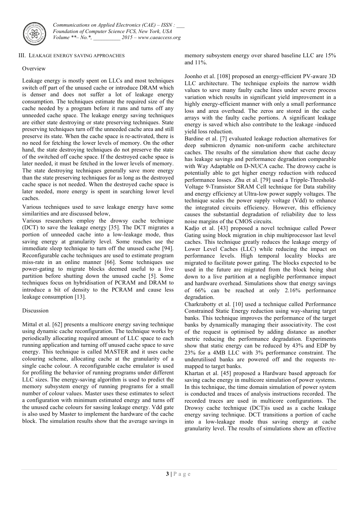

#### III. LEAKAGE ENERGY SAVING APPROACHES

## **Overview**

Leakage energy is mostly spent on LLCs and most techniques switch off part of the unused cache or introduce DRAM which is denser and does not suffer a lot of leakage energy consumption. The techniques estimate the required size of the cache needed by a program before it runs and turns off any unneeded cache space. The leakage energy saving techniques are either state destroying or state preserving techniques. State preserving techniques turn off the unneeded cache area and still preserve its state. When the cache space is re-activated, there is no need for fetching the lower levels of memory. On the other hand, the state destroying techniques do not preserve the state of the switched off cache space. If the destroyed cache space is later needed, it must be fetched in the lower levels of memory. The state destroying techniques generally save more energy than the state preserving techniques for as long as the destroyed cache space is not needed. When the destroyed cache space is later needed, more energy is spent in searching lower level caches.

Various techniques used to save leakage energy have some similarities and are discussed below,

Various researchers employ the drowsy cache technique (DCT) to save the leakage energy [35]. The DCT migrates a portion of unneeded cache into a low-leakage mode, thus saving energy at granularity level. Some reaches use the immediate sleep technique to turn off the unused cache [94]. Reconfigurable cache techniques are used to estimate program miss-rate in an online manner [66]. Some techniques use power-gating to migrate blocks deemed useful to a live partition before shutting down the unused cache [5]. Some techniques focus on hybridisation of PCRAM and DRAM to introduce a bit of density to the PCRAM and cause less leakage consumption [13].

#### Discussion

Mittal et al. [62] presents a multicore energy saving technique using dynamic cache reconfiguration. The technique works by periodically allocating required amount of LLC space to each running application and turning off unused cache space to save energy. This technique is called MASTER and it uses cache colouring scheme, allocating cache at the granularity of a single cache colour. A reconfigurable cache emulator is used for profiling the behavior of running programs under different LLC sizes. The energy-saving algorithm is used to predict the memory subsystem energy of running programs for a small number of colour values. Master uses these estimates to select a configuration with minimum estimated energy and turns off the unused cache colours for sassing leakage energy. Vdd gate is also used by Master to implement the hardware of the cache block. The simulation results show that the average savings in

memory subsystem energy over shared baseline LLC are 15% and 11%.

Joonho et al. [108] proposed an energy-efficient PV-aware 3D LLC architecture. The technique exploits the narrow width values to save many faulty cache lines under severe process variation which results in significant yield improvement in a highly energy-efficient manner with only a small performance loss and area overhead. The zeros are stored in the cache arrays with the faulty cache portions. A significant leakage energy is saved which also contribute to the leakage -induced yield loss reduction.

Bardine et al. [7] evaluated leakage reduction alternatives for deep submicron dynamic non-uniform cache architecture caches. The results of the simulation show that cache decay has leakage savings and performance degradation comparable with Way Adaptable on D-NUCA cache. The drowsy cache is potentially able to get higher energy reduction with reduced performance losses. Zhu et al. [79] used a Tripple-Threshold-Voltage 9-Transistor SRAM Cell technique for Data stability and energy efficiency at Ultra-low power supply voltages. The technique scales the power supply voltage (Vdd) to enhance the integrated circuits efficiency. However, this efficiency causes the substantial degradation of reliability due to less noise margins of the CMOS circuits.

Kadjo et al. [43] proposed a novel technique called Power Gating using block migration in chip multiprocessor last level caches. This technique greatly reduces the leakage energy of Lower Level Caches (LLC) while reducing the impact on performance levels. High temporal locality blocks are migrated to facilitate power gating. The blocks expected to be used in the future are migrated from the block being shut down to a live partition at a negligible performance impact and hardware overhead. Simulations show that energy savings of 66% can be reached at only 2.16% performance degradation.

Charkrabotty et al. [10] used a technique called Performance Constrained Static Energy reduction using way-sharing target banks. This technique improves the performance of the target banks by dynamically managing their associativity. The cost of the request is optimised by adding distance as another metric reducing the performance degradation. Experiments show that static energy can be reduced by 43% and EDP by 23% for a 4MB LLC with 3% performance constraint. The underutilised banks are powered off and the requests remapped to target banks.

Khartan et al. [45] proposed a Hardware based approach for saving cache energy in multicore simulation of power systems. In this technique, the time domain simulation of power system is conducted and traces of analysis instructions recorded. The recorded traces are used in multicore configurations. The Drowsy cache technique (DCT)is used as a cache leakage energy saving technique. DCT transitions a portion of cache into a low-leakage mode thus saving energy at cache granularity level. The results of simulations show an effective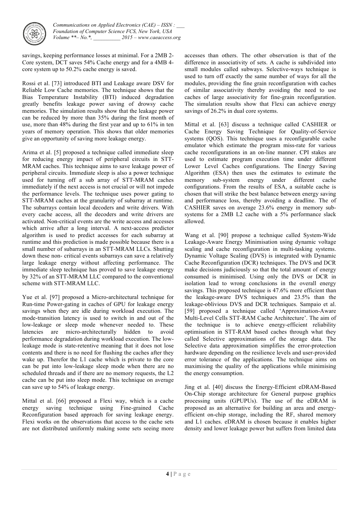

savings, keeping performance losses at minimal. For a 2MB 2- Core system, DCT saves 54% Cache energy and for a 4MB 4 core system up to 50.2% cache energy is saved.

Rossi et al. [73] introduced BTI and Leakage aware DSV for Reliable Low Cache memories. The technique shows that the Bias Temperature Instability (BTI) induced degradation greatly benefits leakage power saving of drowsy cache memories. The simulation results show that the leakage power can be reduced by more than 35% during the first month of use, more than 48% during the first year and up to 61% in ten years of memory operation. This shows that older memories give an opportunity of saving more leakage energy.

Arima et al. [5] proposed a technique called immediate sleep for reducing energy impact of peripheral circuits in STT-MRAM caches. This technique aims to save leakage power of peripheral circuits. Immediate sleep is also a power technique used for turning off a sub array of STT-MRAM caches immediately if the next access is not crucial or will not impede the performance levels. The technique uses power gating to STT-MRAM caches at the granularity of subarray at runtime. The subarrays contain local decoders and write drivers. With every cache access, all the decoders and write drivers are activated. Non-critical events are the write access and accesses which arrive after a long interval. A next-access predictor algorithm is used to predict accesses for each subarray at runtime and this prediction is made possible because there is a small number of subarrays in an STT-MRAM LLCs. Shutting down these non- critical events subarrays can save a relatively large leakage energy without affecting performance. The immediate sleep technique has proved to save leakage energy by 32% of an STT-MRAM LLC compared to the conventional scheme with STT-MRAM LLC.

Yue et al. [97] proposed a Micro-architectural technique for Run-time Power-gating in caches of GPU for leakage energy savings when they are idle during workload execution. The mode-transition latency is used to switch in and out of the low-leakage or sleep mode whenever needed to. These latencies are micro-architecturally hidden to avoid performance degradation during workload execution. The lowleakage mode is state-retentive meaning that it does not lose contents and there is no need for flushing the caches after they wake up. Therefor the L1 cache which is private to the core can be put into low-leakage sleep mode when there are no scheduled threads and if there are no memory requests, the L2 cache can be put into sleep mode. This technique on average can save up to 54% of leakage energy.

Mittal et al. [66] proposed a Flexi way, which is a cache energy saving technique using Fine-grained Cache Reconfiguration based approach for saving leakage energy. Flexi works on the observations that access to the cache sets are not distributed uniformly making some sets seeing more accesses than others. The other observation is that of the difference in associativity of sets. A cache is subdivided into small modules called subways. Selective-ways technique is used to turn off exactly the same number of ways for all the modules, providing the fine grain reconfiguration with caches of similar associativity thereby avoiding the need to use caches of large associativity for fine-grain reconfiguration. The simulation results show that Flexi can achieve energy savings of 26.2% in dual core systems.

Mittal et al. [63] discuss a technique called CASHIER or Cache Energy Saving Technique for Quality-of-Service systems (QOS). This technique uses a reconfigurable cache emulator which estimate the program miss-rate for various cache reconfigurations in an on-line manner. CPI stakes are used to estimate program execution time under different Lower Level Caches configurations. The Energy Saving Algorithm (ESA) then uses the estimates to estimate the memory sub-system energy under different cache configurations. From the results of ESA, a suitable cache is chosen that will strike the best balance between energy saving and performance loss, thereby avoiding a deadline. The of CASHIER saves on average 23.6% energy in memory subsystems for a 2MB L2 cache with a 5% performance slack allowed.

Wang et al. [90] propose a technique called System-Wide Leakage-Aware Energy Minimisation using dynamic voltage scaling and cache reconfiguration in multi-tasking systems. Dynamic Voltage Scaling (DVS) is integrated with Dynamic Cache Reconfiguration (DCR) techniques. The DVS and DCR make decisions judiciously so that the total amount of energy consumed is minimised. Using only the DVS or DCR in isolation lead to wrong conclusions in the overall energy savings. This proposed technique is 47.6% more efficient than the leakage-aware DVS techniques and 23.5% than the leakage-oblivious DVS and DCR techniques. Sampaio et al. [59] proposed a technique called 'Approximation-Aware Multi-Level Cells STT-RAM Cache Architecture'. The aim of the technique is to achieve energy-efficient reliability optimisation in STT-RAM based caches through what they called Selective approximations of the storage data. The Selective data approximation simplifies the error-protection hardware depending on the resilience levels and user-provided error tolerance of the applications. The technique aims on maximising the quality of the applications while minimising the energy consumption.

Jing et al. [40] discuss the Energy-Efficient eDRAM-Based On-Chip storage architecture for General purpose graphics processing units (GPUPUs). The use of the eDRAM is proposed as an alternative for building an area and energyefficient on-chip storage, including the RF, shared memory and L1 caches. eDRAM is chosen because it enables higher density and lower leakage power but suffers from limited data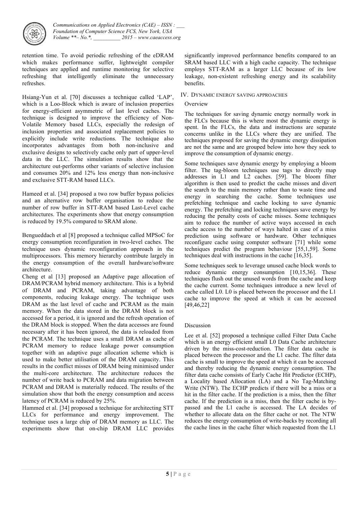

retention time. To avoid periodic refreshing of the eDRAM which makes performance suffer, lightweight compiler techniques are applied and runtime monitoring for selective refreshing that intelligently eliminate the unnecessary refreshes.

Hsiang-Yun et al. [70] discusses a technique called 'LAP', which is a Loo-Block which is aware of inclusion properties for energy-efficient asymmetric of last level caches. The technique is designed to improve the efficiency of Non-Volatile Memory based LLCs, especially the redesign of inclusion properties and associated replacement policies to explicitly include write reductions. The technique also incorporates advantages from both non-inclusive and exclusive designs to selectively cache only part of upper-level data in the LLC. The simulation results show that the architecture out-performs other variants of selective inclusion and consumes 20% and 12% less energy than non-inclusive and exclusive STT-RAM based LLCs.

Hameed et al. [34] proposed a two row buffer bypass policies and an alternative row buffer organisation to reduce the number of row buffer in STT-RAM based Last-Level cache architectures. The experiments show that energy consumption is reduced by 19.5% compared to SRAM alone.

Bengueddach et al [8] proposed a technique called MPSoC for energy consumption reconfiguration in two-level caches. The technique uses dynamic reconfiguration approach in the multiprocessors. This memory hierarchy contribute largely in the energy consumption of the overall hardware/software architecture.

Cheng et al [13] proposed an Adaptive page allocation of DRAM/PCRAM hybrid memory architecture. This is a hybrid of DRAM and PCRAM, taking advantage of both components, reducing leakage energy. The technique uses DRAM as the last level of cache and PCRAM as the main memory. When the data stored in the DRAM block is not accessed for a period, it is ignored and the refresh operation of the DRAM block is stopped. When the data accesses are found necessary after it has been ignored, the data is reloaded from the PCRAM. The technique uses a small DRAM as cache of PCRAM memory to reduce leakage power consumption together with an adaptive page allocation scheme which is used to make better utilisation of the DRAM capacity. This results in the conflict misses of DRAM being minimised under the multi-core architecture. The architecture reduces the number of write back to PCRAM and data migration between PCRAM and DRAM is materially reduced. The results of the simulation show that both the energy consumption and access latency of PCRAM is reduced by 25%.

Hammed et al. [34] proposed a technique for architecting STT LLCs for performance and energy improvement. The technique uses a large chip of DRAM memory as LLC. The experiments show that on-chip DRAM LLC provides

significantly improved performance benefits compared to an SRAM based LLC with a high cache capacity. The technique employs STT-RAM as a larger LLC because of its low leakage, non-existent refreshing energy and its scalability benefits.

### IV. DYNAMIC ENERGY SAVING APPROACHES

#### **Overview**

The techniques for saving dynamic energy normally work in the FLCs because this is where most the dynamic energy is spent. In the FLCs, the data and instructions are separate concerns unlike in the LLCs where they are unified. The techniques proposed for saving the dynamic energy dissipation are not the same and are grouped below into how they seek to improve the consumption of dynamic energy.

Some techniques save dynamic energy by employing a bloom filter. The tag-bloom techniques use tags to directly map addresses in L1 and L2 caches. [59]. The bloom filter algorithm is then used to predict the cache misses and divert the search to the main memory rather than to waste time and energy in searching the cache. Some techniques use prefetching technique and cache locking to save dynamic energy. The prefetching and locking techniques save energy by reducing the penalty costs of cache misses. Some techniques aim to reduce the number of active ways accessed in each cache access to the number of ways halted in case of a miss prediction using software or hardware. Other techniques reconfigure cache using computer software [71] while some techniques predict the program behaviour [55,1,59]. Some techniques deal with instructions in the cache [16,35].

Some techniques seek to leverage unused cache block words to reduce dynamic energy consumption [10,15,36]. These techniques flush out the unused words from the cache and keep the cache current. Some techniques introduce a new level of cache called L0. L0 is placed between the processor and the L1 cache to improve the speed at which it can be accessed [49,46,22]

#### Discussion

Lee et al. [52] proposed a technique called Filter Data Cache which is an energy efficient small L0 Data Cache architecture driven by the miss-cost-reduction. The filter data cache is placed between the processor and the L1 cache. The filter data cache is small to improve the speed at which it can be accessed and thereby reducing the dynamic energy consumption. The filter data cache consists of Early Cache Hit Predictor (ECHP), a Locality based Allocation (LA) and a No Tag-Matching Write (NTW). The ECHP predicts if there will be a miss or a hit in the filter cache. If the prediction is a miss, then the filter cache. If the prediction is a miss, then the filter cache is bypassed and the L1 cache is accessed. The LA decides of whether to allocate data on the filter cache or not. The NTW reduces the energy consumption of write-backs by recording all the cache lines in the cache filter which requested from the L1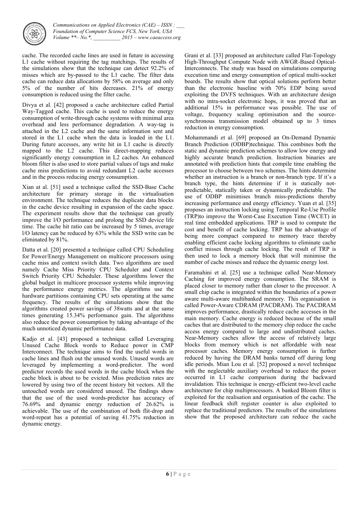

cache. The recorded cache lines are used in future in accessing L1 cache without requiring the tag matchings. The results of the simulations show that the technique can detect 92.2% of misses which are by-passed to the L1 cache. The filter data cache can reduce data allocations by 58% on average and only 5% of the number of hits decreases. 21% of energy consumption is reduced using the filter cache.

Divya et al. [42] proposed a cache architecture called Partial Way-Tagged cache. This cache is used to reduce the energy consumption of write-through cache systems with minimal area overhead and less performance degradation. A way-tag is attached in the L2 cache and the same information sent and stored in the L1 cache when the data is loaded in the L1. During future accesses, any write hit in L1 cache is directly mapped to the L2 cache. This direct-mapping reduces significantly energy consumption in L2 caches. An enhanced bloom filter is also used to store partial values of tags and make cache miss predictions to avoid redundant L2 cache accesses and in the process reducing energy consumption.

Xian at al. [51] used a technique called the SSD-Base Cache architecture for primary storage in the virtualisation environment. The technique reduces the duplicate data blocks in the cache device resulting in expansion of the cache space. The experiment results show that the technique can greatly improve the l/O performance and prolong the SSD device life time. The cache hit ratio can be increased by 5 times, average l/O latency can be reduced by 63% while the SSD write can be eliminated by 81%.

Datta et al. [20] presented a technique called CPU Scheduling for Power/Energy Management on multicore processors using cache miss and context switch data. Two algorithms are used namely Cache Miss Priority CPU Scheduler and Context Switch Priority CPU Scheduler. These algorithms lower the global budget in multicore processor systems while improving the performance energy metrics. The algorithms use the hardware partitions containing CPU sets operating at the same frequency. The results of the simulations show that the algorithms created power savings of 38watts and at the same times generating 15.34% performance gain. The algorithms also reduce the power consumption by taking advantage of the much unnoticed dynamic performance data.

Kadjo et al. [43] proposed a technique called Leveraging Unused Cache Block words to Reduce power in CMP Interconnect. The technique aims to find the useful words in cache lines and flush out the unused words. Unused words are leveraged by implementing a word-predictor. The word predictor records the used words in the cache block when the cache block is about to be evicted. Miss prediction rates are lowered by using two of the recent history bit vectors. All the untouched words are considered unused. The findings show that the use of the used words-predictor has accuracy of 76.69% and dynamic energy reduction of 26.62% is achievable. The use of the combination of both flit-drop and word-repeat has a potential of saving 41.75% reduction in dynamic energy.

Grani et al. [33] proposed an architecture called Flat-Topology High-Throughput Compute Node with AWGR-Based Optical-Interconnects. The study was based on simulations comparing execution time and energy consumption of optical multi-socket boards. The results show that optical solutions perform better than the electronic baseline with 70% EDP being saved exploiting the DVFS techniques. With an architecture design with no intra-socket electronic hops, it was proved that an additional 15% in performance was possible. The use of voltage, frequency scaling optimisation and the sourcesynchronous transmission model obtained up to 3 times reduction in energy consumption.

Mohammandi et al. [69] proposed an On-Demand Dynamic Branch Prediction (ODBP)technique. This combines both the static and dynamic prediction schemes to allow low energy and highly accurate branch prediction. Instruction binaries are annotated with prediction hints that compile time enabling the processor to choose between two schemes. The hints determine whether an instruction is a branch or non-branch type. If it's a branch type, the hints determine if it is statically notpredictable, statically taken or dynamically predictable. The use of ODBP minimises branch miss-predictions thereby increasing performance and energy efficiency. Yuan et al. [35] proposes an instruction locking using Temporal Re-Use Profile (TRP)to improve the Worst-Case Execution Time (WCET) in real time embedded applications. TRP is used to compute the cost and benefit of cache locking. TRP has the advantage of being more compact compared to memory trace thereby enabling efficient cache locking algorithms to eliminate cache conflict misses through cache locking. The result of TRP is then used to lock a memory block that will minimise the number of cache misses and reduce the dynamic energy lost.

Faramahini et al. [25] use a technique called Near-Memory Caching for improved energy consumption. The SRAM is placed closer to memory rather than closer to the processor. A small chip cache is integrated within the boundaries of a power aware multi-aware multibanked memory. This organisation is called Power-Aware CDRAM (PACDRAM). The PACDRAM improves performance, drastically reduce cache accesses in the main memory. Cache energy is reduced because of the small caches that are distributed to the memory chip reduce the cache access energy compared to large and undistributed caches. Near-Memory caches allow the access of relatively large blocks from memory which is not affordable with near processor caches. Memory energy consumption is further reduced by having the DRAM banks turned off during long idle periods. Mian Lou et al. [52] proposed a novel technique with the neglectable auxiliary overhead to reduce the power occurred in L1 cache comparison during the backward invalidation. This technique is energy-efficient two-level cache architecture for chip multiprocessors. A banked Bloom filter is exploited for the realisation and organisation of the cache. The linear feedback shift register counter is also exploited to replace the traditional predictors. The results of the simulations show that the proposed architecture can reduce the cache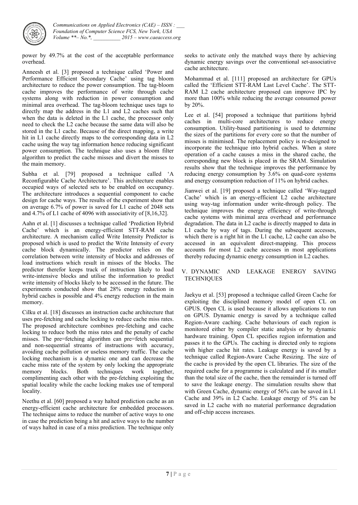

power by 49.7% at the cost of the acceptable performance overhead.

Anneesh et al. [3] proposed a technique called 'Power and Performance Efficient Secondary Cache' using tag bloom architecture to reduce the power consumption. The tag-bloom cache improves the performance of write through cache systems along with reduction in power consumption and minimal area overhead. The tag-bloom technique uses tags to directly map the address in the L1 and L2 caches such that when the data is deleted in the L1 cache, the processor only need to check the L2 cache because the same data will also be stored in the L1 cache. Because of the direct mapping, a write hit in L1 cache directly maps to the corresponding data in L2 cache using the way tag information hence reducing significant power consumption. The technique also uses a bloom filter algorithm to predict the cache misses and divert the misses to the main memory.

Subha et al. [79] proposed a technique called 'A Reconfigurable Cache Architecture'. This architecture enables occupied ways of selected sets to be enabled on occupancy. The architecture introduces a sequential component to cache design for cache ways. The results of the experiment show that on average 6.7% of power is saved for L1 cache of 2048 sets and 4.7% of L1 cache of 4096 with associativity of [8,16,32].

Aahn et al. [1] discusses a technique called 'Prediction Hybrid Cache' which is an energy-efficient STT-RAM cache architecture. A mechanism called Write Intensity Predictor is proposed which is used to predict the Write Intensity of every cache block dynamically. The predictor relies on the correlation between write intensity of blocks and addresses of load instructions which result in misses of the blocks. The predictor therefor keeps track of instruction likely to load write-intensive blocks and utilise the information to predict write intensity of blocks likely to be accessed in the future. The experiments conducted show that 28% energy reduction in hybrid caches is possible and 4% energy reduction in the main memory.

Cilku et al. [18] discusses an instruction cache architecture that uses pre-fetching and cache locking to reduce cache miss rates. The proposed architecture combines pre-fetching and cache locking to reduce both the miss rates and the penalty of cache misses. The pre=fetching algorithm can pre=fetch sequential and non-sequential streams of instructions with accuracy, avoiding cache pollution or useless memory traffic. The cache locking mechanism is a dynamic one and can decrease the cache miss rate of the system by only locking the appropriate memory blocks. Both techniques work together, complimenting each other with the pre-fetching exploiting the spatial locality while the cache locking makes use of temporal locality.

Neethu et al. [60] proposed a way halted prediction cache as an energy-efficient cache architecture for embedded processors. The technique aims to reduce the number of active ways to one in case the prediction being a hit and active ways to the number of ways halted in case of a miss prediction. The technique only

seeks to activate only the matched ways there by achieving dynamic energy savings over the conventional set-associative cache architecture.

Mohammad et al. [111] proposed an architecture for GPUs called the 'Efficient STT-RAM Last Level Cache'. The STT-RAM L2 cache architecture proposed can improve IPC by more than 100% while reducing the average consumed power by 20%.

Lee et al. [54] proposed a technique that partitions hybrid caches in multi-core architectures to reduce energy consumption. Utility-based partitioning is used to determine the sizes of the partitions for every core so that the number of misses is minimised. The replacement policy is re-designed to incorporate the technique into hybrid caches. When a store operation of a cache causes a miss in the shared cache, the corresponding new block is placed in the SRAM. Simulation results show that the technique improves the performance by reducing energy consumption by 3.6% on quad-core systems and energy consumption reduction of 11% on hybrid caches.

Jianwei et al. [19] proposed a technique called 'Way-tagged Cache' which is an energy-efficient L2 cache architecture using way-tag information under write-through policy. The technique improves the energy efficiency of write-through cache systems with minimal area overhead and performance degradation. The data in L2 cache is directly mapped to data in L1 cache by way of tags. During the subsequent accesses, which there is a right hit in the L1 cache, L2 cache can also be accessed in an equivalent direct-mapping. This process accounts for most L2 cache accesses in most applications thereby reducing dynamic energy consumption in L2 caches.

#### V. DYNAMIC AND LEAKAGE ENERGY SAVING **TECHNIQUES**

Jaekyu et al. [53] proposed a technique called Green Cache for exploiting the disciplined memory model of open CL on GPUS. Open CL is used because it allows applications to run on GPUS. Dynamic energy is saved by a technique called Region-Aware caching. Cache behaviours of each region is monitored either by compiler static analysis or by dynamic hardware training. Open CL specifies region information and passes it to the GPUs. The caching is directed only to regions with higher cache hit rates. Leakage energy is saved by a technique called Region-Aware Cache Resizing. The size of the cache is provided by the open CL libraries. The size of the required cache for a programme is calculated and if its smaller than the total size of the cache, then the remainder is turned off to save the leakage energy. The simulation results show that with Green Cache, dynamic energy of 56% can be saved in L1 Cache and 39% in L2 Cache. Leakage energy of 5% can be saved in L2 cache with no material performance degradation and off-chip access increases.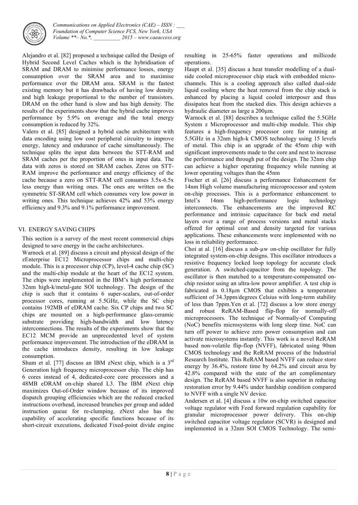

Alejandro et al. [82] proposed a technique called the Design of Hybrid Second Level Caches which is the hybridisation of SRAM and DRAM to minimise performance losses, energy consumption over the SRAM area and to maximise performance over the DRAM area. SRAM is the fastest existing memory but it has drawbacks of having low density and high leakage proportional to the number of transistors. DRAM on the other hand is slow and has high density. The results of the experiments show that the hybrid cache improves performance by 5.9% on average and the total energy consumption is reduced by 32%.

Valero et al. [85] designed a hybrid cache architecture with data encoding using low cost peripheral circuitry to improve energy, latency and endurance of cache simultaneously. The technique splits the input data between the STT-RAM and SRAM caches per the proportion of ones in input data. The data with zeros is stored on SRAM caches. Zeros on STT-RAM improve the performance and energy efficiency of the cache because a zero on STT-RAM cell consumes 3.5x-6.5x less energy than writing ones. The ones are written on the symmetric ST-SRAM cell which consumes very low power in writing ones. This technique achieves 42% and 53% energy efficiency and 9.3% and 9.1% performance improvement.

# VI. ENERGY SAVING CHIPS

This section is a survey of the most recent commercial chips designed to save energy in the cache architectures.

Warnock et al. [89] discuss a circuit and physical design of the zEnterprise EC12 Microprocessor chips and multi-chip module. This is a processor chip (CP), level-4 cache chip (SC) and the multi-chip module at the heart of the EC12 system. The chips were implemented in the IBM's high performance 32nm high-k/metal-gate SOI technology. The design of the chip is such that it contains 6 super-scalars, out-of-order processor cores, running at 5.5GHz, while the SC chip contains 192MB of eDRAM cache. Six CP chips and two SC chips are mounted on a high-performance glass-ceramic substrate providing high-bandwidth and low latency interconnections. The results of the experiments show that the EC12 MCM provide an unprecedented level of system performance improvement. The introduction of the eDRAM in the cache introduces density, resulting in low leakage consumption.

Shum et al. [77] discuss an IBM zNext chip, which is a 3rd Generation high frequency microprocessor chip. The chip has 6 cores instead of 4, dedicated-core core processors and a 48MB eDRAM on-chip shared L3. The IBM zNext chip maximizes Out-of-Order window because of its improved dispatch grouping efficiencies which are the reduced cracked instructions overhead, increased branches per group and added instruction queue for re-clumping. zNext also has the capability of accelerating specific functions because of its short-circuit executions, dedicated Fixed-point divide engine

resulting in 25-65% faster operations and millicode operations.

Haupt et al. [35] discuss a heat transfer modelling of a dualside cooled microprocessor chip stack with embedded microchannels. This is a cooling approach also called dual-side liquid cooling where the heat removal from the chip stack is enhanced by placing a liquid cooled interposer and thus dissipates heat from the stacked dies. This design achieves a hydraulic diameter as large a 200µm.

Warnock et al. [88] describes a technique called the 5.5GHz System z Microprocessor and multi-chip module. This chip features a high-frequency processor core for running at 5.5GHz in a 32nm high-k CMOS technology using 15 levels of metal. This chip is an upgrade of the 45nm chip with significant improvements made to the core and nest to increase the performance and through put of the design. The 32nm chip can achieve a higher operating frequency while running at lower operating voltages than the 45nm

Fischer et al. [26] discuss a performance Enhancement for 14nm High volume manufacturing microprocessor and system on-chip processes. This is a performance enhancement to Intel's 14nm high-performance logic technology interconnects. The enhancements are the improved RC performance and intrinsic capacitance for back end metal layers over a range of process versions and metal stacks offered for optimal cost and density targeted for various applications. These enhancements were implemented with no loss in reliability performance.

Choi at al. [16] discuss a sub-uw on-chip oscillator for fully integrated system-on-chip designs. This oscillator introduces a resistive frequency locked loop topology for accurate clock generation. A switched-capacitor from the topology. The oscillator is then matched to a temperature-compensated onchip resistor using an ultra-low power amplifier. A test chip is fabricated in 0.18µm CMOS that exhibits a temperature sufficient of 34.3ppm/degrees Celsius with long-term stability of less than 7ppm.Yen et al. [72] discuss a low store energy and robust ReRAM-Based flip-flop for normally-off microprocessors. The technique of Normally-of Computing (NoC) benefits microsystems with long sleep time. NoC can turn off power to achieve zero power consumption and can activate microsystems instantly. This work is a novel ReRAM based non-volatile flip-flop (NVFF), fabricated using 90nm CMOS technology and the ReRAM process of the Industrial Research Institute. This ReRAM based NVFF can reduce store energy by 36.4%, restore time by 64.2% and circuit area by 42.8% compared with the state of the art complimentary design. The ReRAM based NVFF is also superior in reducing restoration error by 9.44% under hardship condition compared to NVFF with a single NV device.

Andersen et al. [4] discuss a 10w on-chip switched capacitor voltage regulator with Feed forward regulation capability for granular microprocessor power delivery. This on-chip switched capacitor voltage regulator (SCVR) is designed and implemented in a 32nm SOI CMOS Technology. The semi-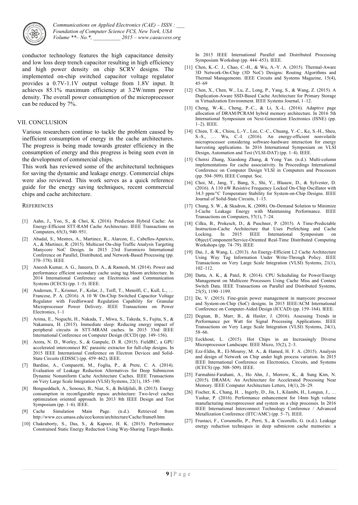

conductor technology features the high capacitance density and low loss deep trench capacitor resulting in high efficiency and high power density on chip SCRV designs. The implemented on-chip switched capacitor voltage regulator provides a 0.7V-1.1V output voltage from 1.8V input. It achieves 85.1% maximum efficiency at 3.2W/nmm power density. The overall power consumption of the microprocessor can be reduced by 7%.

#### VII. CONCLUSION

Various researchers continue to tackle the problem caused by inefficient consumption of energy in the cache architectures. The progress is being made towards greater efficiency in the consumption of energy and this progress is being seen even in the development of commercial chips.

This work has reviewed some of the architectural techniques for saving the dynamic and leakage energy. Commercial chips were also reviewed. This work serves as a quick reference guide for the energy saving techniques, recent commercial chips and cache architecture.

#### **REFERENCES**

- [1] Aahn, J., Yoo, S., & Choi, K. (2016). Prediction Hybrid Cache: An Energy-Efficient STT-RAM Cache Architecture. IEEE Transactions on Computers, 65(3), 940–951.
- [2] Abadal, S., Mestres, A., Martinez, R., Alarcon, E., Cabellos-Aparicio, A., & Martinez, R. (2015). Multicast On-chip Traffic Analysis Targeting Manycore NoC Design. In 2015 23rd Euromicro International Conference on Parallel, Distributed, and Network-Based Processing (pp. 370–378). IEEE
- [3] Aneesh Kumar, A. G., Janeera, D. A., & Ramesh, M. (2014). Power and performance efficient secondary cache using tag bloom architecture. In 2014 International Conference on Electronics and Communication Systems (ICECS) (pp. 1–5). IEEE.
- [4] Andersen, T., Krismer, F., Kolar, J., Toifl, T., Menolfi, C., Kull, L., … Francese, P. A. (2016). A 10 W On-Chip Switched Capacitor Voltage Regulator with Feedforward Regulation Capability for Granular Microprocessor Power Delivery. IEEE Transactions on Power Electronics, 1–1
- [5] Arima, E., Noguchi, H., Nakada, T., Miwa, S., Takeda, S., Fujita, S., & Nakamura, H. (2015). Immediate sleep: Reducing energy impact of peripheral circuits in STT-MRAM caches. In 2015 33rd IEEE International Conference on Computer Design (ICCD) (pp. 149–156).
- [6] Arora, N. D., Worley, S., & Ganpule, D. R. (2015). FieldRC, a GPU accelerated interconnect RC parasitic extractor for full-chip designs. In 2015 IEEE International Conference on Electron Devices and Solid-State Circuits (EDSSC) (pp. 459–462). IEEE.
- [7] Bardine, A., Comparetti, M., Foglia, P., & Prete, C. A. (2014). Evaluation of Leakage Reduction Alternatives for Deep Submicron Dynamic Nonuniform Cache Architecture Caches. IEEE Transactions on Very Large Scale Integration (VLSI) Systems, 22(1), 185–190.
- [8] Bengueddach, A., Senouci, B., Niar, S., & Beldjilali, B. (2013). Energy consumption in reconfigurable mpsoc architecture: Two-level caches optimization oriented approach. In 2013 8th IEEE Design and Test Symposium (pp. 1–6). IEEE.
- [9] Cache Simulation Main Page. (n.d.). Retrieved from http://www.ecs.umass.edu/ece/koren/architecture/Cache/frame0.htm
- [10] Chakraborty, S., Das, S., & Kapoor, H. K. (2015). Performance Constrained Static Energy Reduction Using Way-Sharing Target-Banks.

In 2015 IEEE International Parallel and Distributed Processing Symposium Workshop (pp. 444–453). IEEE.

- [11] Chen, K.-C. J., Chao, C.-H., & Wu, A.-Y. A. (2015). Thermal-Aware 3D Network-On-Chip (3D NoC) Designs: Routing Algorithms and Thermal Managements. IEEE Circuits and Systems Magazine, 15(4), 45–69
- [12] Chen, X., Chen, W., Lu, Z., Long, P., Yang, S., & Wang, Z. (2015). A Duplication-Aware SSD-Based Cache Architecture for Primary Storage in Virtualization Environment. IEEE Systems Journal, 1–12.
- [13] Cheng, W.-K., Cheng, P.-C., & Li, X.-L. (2016). Adaptive page allocation of DRAM/PCRAM hybrid memory architecture. In 2016 5th International Symposium on Next-Generation Electronics (ISNE) (pp. 1–2). IEEE.
- [14] Chien, T.-K., Chiou, L.-Y., Lee, C.-C., Chuang, Y.-C., Ke, S.-H., Sheu, S.-S., … Wu, C.-I. (2016). An energy-efficient nonvolatile microprocessor considering software-hardware interaction for energy harvesting applications. In 2016 International Symposium on VLSI Design, Automation and Test (VLSI-DAT) (pp. 1–4). IEEE.
- [15] Chenxi Zhang, Xiaodong Zhang, & Yong Yan. (n.d.). Multi-column implementations for cache associativity. In Proceedings International Conference on Computer Design VLSI in Computers and Processors (pp. 504–509). IEEE Comput. Soc.
- [16] Choi, M., Jang, T., Bang, S., Shi, Y., Blaauw, D., & Sylvester, D. (2016). A 110 nW Resistive Frequency Locked On-Chip Oscillator with 34.3 ppm/°C Temperature Stability for System-on-Chip Designs. IEEE Journal of Solid-State Circuits, 1–13.
- [17] Chung, S. W., & Skadron, K. (2008). On-Demand Solution to Minimize I-Cache Leakage Energy with Maintaining Performance. IEEE Transactions on Computers, 57(1), 7–24.
- [18] Cilku, B., Prokesch, D., & Puschner, P. (2015). A Time-Predictable Instruction-Cache Architecture that Uses Prefetching and Cache Locking. In 2015 IEEE International Symposium on Object/Component/Service-Oriented Real-Time Distributed Computing Workshops (pp. 74–79). IEEE
- [19] Dai, J., & Wang, L. (2013). An Energy-Efficient L2 Cache Architecture Using Way Tag Information Under Write-Through Policy. IEEE Transactions on Very Large Scale Integration (VLSI) Systems, 21(1), 102–112.
- [20] Datta, A. K., & Patel, R. (2014). CPU Scheduling for Power/Energy Management on Multicore Processors Using Cache Miss and Context Switch Data. IEEE Transactions on Parallel and Distributed Systems, 25(5), 1190–1199.
- [21] De, V. (2015). Fine-grain power management in manycore processor and System-on-Chip (SoC) designs. In 2015 IEEE/ACM International Conference on Computer-Aided Design (ICCAD) (pp. 159–164). IEEE.
- [22] Degnan, B., Marr, B., & Hasler, J. (2016). Assessing Trends in Performance per Watt for Signal Processing Applications. IEEE Transactions on Very Large Scale Integration (VLSI) Systems, 24(1), 58–66.
- [23] Eeckhout, L. (2015). Hot Chips in an Increasingly Diverse Microprocessor Landscape. IEEE Micro, 35(2), 2–3.
- [24] Ezz-Eldin, R., El-Moursy, M. A., & Hamed, H. F. A. (2015). Analysis and design of Network on Chip under high process variation. In 2015 IEEE International Conference on Electronics, Circuits, and Systems (ICECS) (pp. 508–509). IEEE.
- [25] Farmahini-Farahani, A., Ho Ahn, J., Morrow, K., & Sung Kim, N. (2015). DRAMA: An Architecture for Accelerated Processing Near Memory. IEEE Computer Architecture Letters, 14(1), 26–29.
- [26] Fischer, K., Chang, H. ., Ingerly, D., Jin, I., Kilambi, H., Longun, J., ... Yashar, P. (2016). Performance enhancement for 14nm high volume manufacturing microprocessor and system on a chip processes. In 2016 IEEE International Interconnect Technology Conference / Advanced Metallization Conference (IITC/AMC) (pp. 5–7). IEEE.
- [27] Frustaci, F., Corsonello, P., Perri, S., & Cocorullo, G. (n.d.). Leakage energy reduction techniques in deep submicron cache memories: a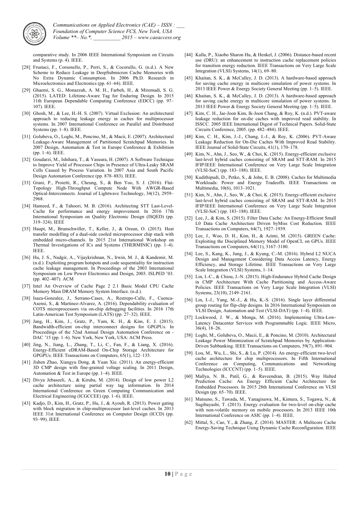

*Communications on Applied Electronics (CAE) – ISSN : Foundation of Computer Science FCS, New York, USA*  $2015$  – www.caeaccess.org

comparative study. In 2006 IEEE International Symposium on Circuits and Systems (p. 4). IEEE.

- [28] Frustaci, F., Corsonello, P., Perri, S., & Cocorullo, G. (n.d.). A New Scheme to Reduce Leakage in DeepSubmicron Cache Memories with No Extra Dynamic Consumption. In 2006 Ph.D. Research in Microelectronics and Electronics (pp. 61–64). IEEE.
- [29] Ghaemi, S. G., Monazzah, A. M. H., Farbeh, H., & Miremadi, S. G. (2015). LATED: Lifetime-Aware Tag for Enduring Design. In 2015 11th European Dependable Computing Conference (EDCC) (pp. 97– 107). IEEE.
- [30] Ghosh, M., & Lee, H.-H. S. (2007). Virtual Exclusion: An architectural approach to reducing leakage energy in caches for multiprocessor systems. In 2007 International Conference on Parallel and Distributed Systems (pp. 1–8). IEEE.
- [31] Golubeva, O., Loghi, M., Poncino, M., & Macii, E. (2007). Architectural Leakage-Aware Management of Partitioned Scratchpad Memories. In 2007 Design, Automation & Test in Europe Conference & Exhibition (pp. 1–6). IEEE.
- [32] Goudarzi, M., Ishihara, T., & Yasuura, H. (2007). A Software Technique to Improve Yield of Processor Chips in Presence of Ultra-Leaky SRAM Cells Caused by Process Variation. In 2007 Asia and South Pacific Design Automation Conference (pp. 878–883). IEEE.
- [33] Grani, P., Proietti, R., Cheung, S., & Ben Yoo, S. J. (2016). Flat-Topology High-Throughput Compute Node With AWGR-Based Optical-Interconnects. Journal of Lightwave Technology, 34(12), 2959– 2968.
- [34] Hameed, F., & Tahoori, M. B. (2016). Architecting STT Last-Level-Cache for performance and energy improvement. In 2016 17th International Symposium on Quality Electronic Design (ISQED) (pp. 319–324). IEEE
- [35] Haupt, M., Brunschwiller, T., Keller, J., & Ozsun, O. (2015). Heat transfer modelling of a dual-side cooled microprocessor chip stack with embedded micro-channels. In 2015 21st International Workshop on Thermal Investigations of ICs and Systems (THERMINIC) (pp. 1–4). IEEE.
- [36] Hu, J. S., Nadgir, A., Vijaykrishnan, N., Irwin, M. J., & Kandemir, M. (n.d.). Exploiting program hotspots and code sequentiality for instruction cache leakage management. In Proceedings of the 2003 International Symposium on Low Power Electronics and Design, 2003. ISLPED '03. (pp. 402–407). ACM
- [37] Intel An Overview of Cache Page 2 2.1 Basic Model CPU Cache Memory Main DRAM Memory System Interface. (n.d.).
- [38] Isaza-Gonzalez, J., Serrano-Cases, A., Restrepo-Calle, F., Cuenca-Asensi, S., & Martinez-Alvarez, A. (2016). Dependability evaluation of COTS microprocessors via on-chip debugging facilities. In 2016 17th Latin-American Test Symposium (LATS) (pp. 27–32). IEEE.
- [39] Jang, H., Kim, J., Gratz, P., Yum, K. H., & Kim, E. J. (2015). Bandwidth-efficient on-chip interconnect designs for GPGPUs. In Proceedings of the 52nd Annual Design Automation Conference on - DAC '15 (pp. 1–6). New York, New York, USA: ACM Press.
- [40] Jing, N., Jiang, L., Zhang, T., Li, C., Fan, F., & Liang, X. (2016). Energy-Efficient eDRAM-Based On-Chip Storage Architecture for GPGPUs. IEEE Transactions on Computers, 65(1), 122–135.
- [41] Jishen Zhao, Xiangyu Dong, & Yuan Xie. (2011). An energy-efficient 3D CMP design with fine-grained voltage scaling. In 2011 Design, Automation & Test in Europe (pp. 1–4). IEEE.
- [42] Divya Jebaseeli, A., & Kiruba, M. (2014). Design of low power L2 cache architecture using partial way tag information. In 2014 International Conference on Green Computing Communication and Electrical Engineering (ICGCCEE) (pp. 1–6). IEEE.
- [43] Kadjo, D., Kim, H., Gratz, P., Hu, J., & Ayoub, R. (2013). Power gating with block migration in chip-multiprocessor last-level caches. In 2013 IEEE 31st International Conference on Computer Design (ICCD) (pp. 93–99). IEEE
- [44] Kalla, P., Xiaobo Sharon Hu, & Henkel, J. (2006). Distance-based recent use (DRU): an enhancement to instruction cache replacement policies for transition energy reduction. IEEE Transactions on Very Large Scale Integration (VLSI) Systems, 14(1), 69–80.
- [45] Khaitan, S. K., & McCalley, J. D. (2013). A hardware-based approach for saving cache energy in multicore simulation of power systems. In 2013 IEEE Power & Energy Society General Meeting (pp. 1–5). IEEE.
- [46] Khaitan, S. K., & McCalley, J. D. (2013). A hardware-based approach for saving cache energy in multicore simulation of power systems. In 2013 IEEE Power & Energy Society General Meeting (pp. 1–5). IEEE.
- [47] Kim, C. H., Jae-Joon Kim, Ik-Joon Chang, & Roy, K. (n.d.). PVT-aware leakage reduction for on-die caches with improved read stability. In ISSCC. 2005 IEEE International Digest of Technical Papers. Solid-State Circuits Conference, 2005. (pp. 482–484). IEEE.
- [48] Kim, C. H., Kim, J.-J., Chang, I.-J., & Roy, K. (2006). PVT-Aware Leakage Reduction for On-Die Caches With Improved Read Stability. IEEE Journal of Solid-State Circuits, 41(1), 170–178.
- [49] Kim, N., Ahn, J., Seo, W., & Choi, K. (2015). Energy-efficient exclusive last-level hybrid caches consisting of SRAM and STT-RAM. In 2015 IFIP/IEEE International Conference on Very Large Scale Integration (VLSI-SoC) (pp. 183–188). IEEE.
- [50] Kudithipudi, D., Petko, S., & John, E. B. (2008). Caches for Multimedia Workloads: Power and Energy Tradeoffs. IEEE Transactions on Multimedia, 10(6), 1013–1021.
- [51] Kim, N., Ahn, J., Seo, W., & Choi, K. (2015). Energy-efficient exclusive last-level hybrid caches consisting of SRAM and STT-RAM. In 2015 IFIP/IEEE International Conference on Very Large Scale Integration (VLSI-SoC) (pp. 183–188). IEEE.
- [52] Lee, J., & Kim, S. (2015). Filter Data Cache: An Energy-Efficient Small L0 Data Cache Architecture Driven byMiss Cost Reduction. IEEE Transactions on Computers, 64(7), 1927–1939.
- [53] Lee, J., Woo, D. H., Kim, H., & Azimi, M. (2015). GREEN Cache: Exploiting the Disciplined Memory Model of OpenCL on GPUs. IEEE Transactions on Computers, 64(11), 3167–3180.
- [54] Lee, S., Kang, K., Jung, J., & Kyung, C.-M. (2016). Hybrid L2 NUCA Design and Management Considering Data Access Latency, Energy Efficiency, and Storage Lifetime. IEEE Transactions on Very Large Scale Integration (VLSI) Systems, 1–14.
- [55] Lin, I.-C., & Chiou, J.-N. (2015). High-Endurance Hybrid Cache Design in CMP Architecture With Cache Partitioning and Access-Aware Policies. IEEE Transactions on Very Large Scale Integration (VLSI) Systems, 23(10), 2149–2161.
- [56] Lin, I.-J., Yang, M.-J., & Hu, K.-S. (2016). Single layer differential group routing for flip-chip designs. In 2016 International Symposium on VLSI Design, Automation and Test (VLSI-DAT) (pp. 1–4). IEEE.
- [57] Lockwood, J. W., & Monga, M. (2016). Implementing Ultra-Low-Latency Datacenter Services with Programmable Logic. IEEE Micro, 36(4), 18–26.
- [58] Loghi, M., Golubeva, O., Macii, E., & Poncino, M. (2010). Architectural Leakage Power Minimization of Scratchpad Memories by Application-Driven Subbanking. IEEE Transactions on Computers, 59(7), 891–904.
- [59] Lou, M., Wu, L., Shi, S., & Lu, P. (2014). An energy-efficient two-level cache architecture for chip multiprocessors. In Fifth International Conference on Computing, Communications and Networking Technologies (ICCCNT) (pp. 1–5). IEEE.
- [60] Mallya, N. B., Patil, G., & Raveendran, B. (2015). Way Halted Prediction Cache: An Energy Efficient Cache Architecture for Embedded Processors. In 2015 28th International Conference on VLSI Design (pp. 65–70). IEEE.
- [61] Matsuno, S., Tawada, M., Yanagisawa, M., Kimura, S., Togawa, N., & Sugibayashi, T. (2013). Energy evaluation for two-level on-chip cache with non-volatile memory on mobile processors. In 2013 IEEE 10th International Conference on ASIC (pp. 1–4). IEEE.
- [62] Mittal, S., Cao, Y., & Zhang, Z. (2014). MASTER: A Multicore Cache Energy-Saving Technique Using Dynamic Cache Reconfiguration. IEEE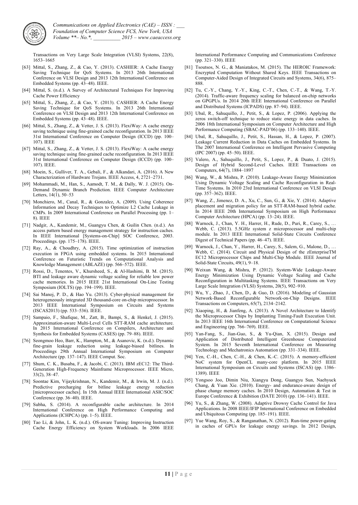

Transactions on Very Large Scale Integration (VLSI) Systems, 22(8), 1653–1665

- [63] Mittal, S., Zhang, Z., & Cao, Y. (2013). CASHIER: A Cache Energy Saving Technique for QoS Systems. In 2013 26th International Conference on VLSI Design and 2013 12th International Conference on Embedded Systems (pp. 43–48). IEEE.
- [64] Mittal, S. (n.d.). A Survey of Architectural Techniques For Improving Cache Power Efficiency
- [65] Mittal, S., Zhang, Z., & Cao, Y. (2013). CASHIER: A Cache Energy Saving Technique for QoS Systems. In 2013 26th International Conference on VLSI Design and 2013 12th International Conference on Embedded Systems (pp. 43–48). IEEE.
- [66] Mittal, S., Zhang, Z., & Vetter, J. S. (2013). FlexiWay: A cache energy saving technique using fine-grained cache reconfiguration. In 2013 IEEE 31st International Conference on Computer Design (ICCD) (pp. 100– 107). IEEE
- [67] Mittal, S., Zhang, Z., & Vetter, J. S. (2013). FlexiWay: A cache energy saving technique using fine-grained cache reconfiguration. In 2013 IEEE 31st International Conference on Computer Design (ICCD) (pp. 100– 107). IEEE.
- [68] Moein, S., Gulliver, T. A., Gebali, F., & Alkandari, A. (2016). A New Characterization of Hardware Trojans. IEEE Access, 4, 2721–2731.
- [69] Mohammadi, M., Han, S., Aamodt, T. M., & Dally, W. J. (2015). On-Demand Dynamic Branch Prediction. IEEE Computer Architecture Letters, 14(1), 50–53
- [70] Monchiero, M., Canal, R., & Gonzalez, A. (2009). Using Coherence Information and Decay Techniques to Optimize L2 Cache Leakage in CMPs. In 2009 International Conference on Parallel Processing (pp. 1– 8). IEEE
- [71] Nadgir, A., Kandemir, M., Guangyu Chen, & Guilin Chen. (n.d.). An access pattern based energy management strategy for instruction caches. In IEEE International [Systems-on-Chip] SOC Conference, 2003. Proceedings. (pp. 175–178). IEEE.
- [72] Ray, A., & Choudhry, A. (2015). Time optimization of instruction execution in FPGA using embedded systems. In 2015 International Conference on Futuristic Trends on Computational Analysis and Knowledge Management (ABLAZE) (pp. 566–572). IEEE.
- [73] Rossi, D., Tenentes, V., Khursheed, S., & Al-Hashimi, B. M. (2015). BTI and leakage aware dynamic voltage scaling for reliable low power cache memories. In 2015 IEEE 21st International On-Line Testing Symposium (IOLTS) (pp. 194–199). IEEE.
- [74] Sai Manoj, P. D., & Hao Yu. (2013). Cyber-physical management for heterogeneously integrated 3D thousand-core on-chip microprocessor. In 2013 IEEE International Symposium on Circuits and Systems (ISCAS2013) (pp. 533–536). IEEE.
- [75] Sampaio, F., Shafique, M., Zatt, B., Bampi, S., & Henkel, J. (2015). Approximation-aware Multi-Level Cells STT-RAM cache architecture. In 2015 International Conference on Compilers, Architecture and Synthesis for Embedded Systems (CASES) (pp. 79–88). IEEE.
- [76] Seongmoo Heo, Barr, K., Hampton, M., & Asanovic, K. (n.d.). Dynamic fine-grain leakage reduction using leakage-biased bitlines. In Proceedings 29th Annual International Symposium on Computer Architecture (pp. 137–147). IEEE Comput. Soc.
- [77] Shum, C. K., Busaba, F., & Jacobi, C. (2013). IBM zEC12: The Third-Generation High-Frequency Mainframe Microprocessor. IEEE Micro, 33(2), 38–47.
- [78] Soontae Kim, Vijaykrishnan, N., Kandemir, M., & Irwin, M. J. (n.d.). Predictive precharging for bitline leakage energy reduction [microprocessor caches]. In 15th Annual IEEE International ASIC/SOC Conference (pp. 36–40). IEEE.
- [79] Subha, S. (2014). A reconfigurable cache architecture. In 2014 International Conference on High Performance Computing and Applications (ICHPCA) (pp. 1–5). IEEE.
- [80] Tao Li, & John, L. K. (n.d.). OS-aware Tuning: Improving Instruction Cache Energy Efficiency on System Workloads. In 2006 IEEE

International Performance Computing and Communications Conference (pp. 321–330). IEEE

- [81] Tsoutsos, N. G., & Maniatakos, M. (2015). The HEROIC Framework: Encrypted Computation Without Shared Keys. IEEE Transactions on Computer-Aided Design of Integrated Circuits and Systems, 34(6), 875– 888.
- [82] Tu, C.-Y., Chang, Y.-Y., King, C.-T., Chen, C.-T., & Wang, T.-Y. (2014). Traffic-aware frequency scaling for balanced on-chip networks on GPGPUs. In 2014 20th IEEE International Conference on Parallel and Distributed Systems (ICPADS) (pp. 87–94). IEEE.
- [83] Ubal, R., Sahuquillo, J., Petit, S., & Lopez, P. (2006). Applying the zeros switch-off technique to reduce static energy in data caches. In 2006 18th International Symposium on Computer Architecture and High Performance Computing (SBAC-PAD'06) (pp. 133–140). IEEE.
- [84] Ubal, R., Sahuquillo, J., Petit, S., Hassan, H., & Lopez, P. (2007). Leakage Current Reduction in Data Caches on Embedded Systems. In The 2007 International Conference on Intelligent Pervasive Computing (IPC 2007) (pp. 45–50). IEEE.
- [85] Valero, A., Sahuquillo, J., Petit, S., Lopez, P., & Duato, J. (2015). Design of Hybrid Second-Level Caches. IEEE Transactions on Computers, 64(7), 1884–1897
- [86] Wang, W., & Mishra, P. (2010). Leakage-Aware Energy Minimization Using Dynamic Voltage Scaling and Cache Reconfiguration in Real-Time Systems. In 2010 23rd International Conference on VLSI Design (pp. 357–362). IEEE.
- [87] Wang, Z., Jimenez, D. A., Xu, C., Sun, G., & Xie, Y. (2014). Adaptive placement and migration policy for an STT-RAM-based hybrid cache. In 2014 IEEE 20th International Symposium on High Performance Computer Architecture (HPCA) (pp. 13–24). IEEE.
- [88] Warnock, J., Chan, Y. H., Harrer, H., Rude, D., Puri, R., Carey, S., ... Webb, C. (2013). 5.5GHz system z microprocessor and multi-chip module. In 2013 IEEE International Solid-State Circuits Conference Digest of Technical Papers (pp. 46–47). IEEE.
- [89] Warnock, J., Chan, Y., Harrer, H., Carey, S., Salem, G., Malone, D., ... Webb, C. (2014). Circuit and Physical Design of the zEnterpriseTM EC12 Microprocessor Chips and Multi-Chip Module. IEEE Journal of Solid-State Circuits, 49(1), 9–18.
- [90] Weixun Wang, & Mishra, P. (2012). System-Wide Leakage-Aware Energy Minimization Using Dynamic Voltage Scaling and Cache Reconfiguration in Multitasking Systems. IEEE Transactions on Very Large Scale Integration (VLSI) Systems, 20(5), 902–910.
- [91] Wu, Y., Zhao, J., Chen, D., & Guo, D. (2016). Modeling of Gaussian Network-Based Reconfigurable Network-on-Chip Designs. IEEE Transactions on Computers, 65(7), 2134–2142.
- [92] Xiaoping, H., & Jianfeng, A. (2013). A Novel Architecture to Identify the Microprocessor Chips by Implanting Timing-Fault Execution Unit. In 2013 IEEE 16th International Conference on Computational Science and Engineering (pp. 766–769). IEEE.
- [93] Yan-Fang, S., Jian-Guo, S., & Yu-Qian, X. (2015). Design and Application of Distributed Intelligent Greenhouse Computerized System. In 2015 Seventh International Conference on Measuring Technology and Mechatronics Automation (pp. 331–334). IEEE.
- [94] Yen, C.-H., Chen, C.-H., & Chen, K.-C. (2015). A memory-efficient NoC system for OpenCL many-core platform. In 2015 IEEE International Symposium on Circuits and Systems (ISCAS) (pp. 1386– 1389). IEEE
- [95] Yongsoo Joo, Dimin Niu, Xiangyu Dong, Guangyu Sun, Naehyuck Chang, & Yuan Xie. (2010). Energy- and endurance-aware design of phase change memory caches. In 2010 Design, Automation & Test in Europe Conference & Exhibition (DATE 2010) (pp. 136–141). IEEE.
- [96] Yu, S., & Zhang, W. (2008). Adaptive Drowsy Cache Control for Java Applications. In 2008 IEEE/IFIP International Conference on Embedded and Ubiquitous Computing (pp. 185–191). IEEE.
- [97] Yue Wang, Roy, S., & Ranganathan, N. (2012). Run-time power-gating in caches of GPUs for leakage energy savings. In 2012 Design,